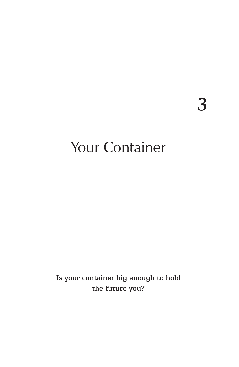**3**

# Your Container

Is your container big enough to hold the future you?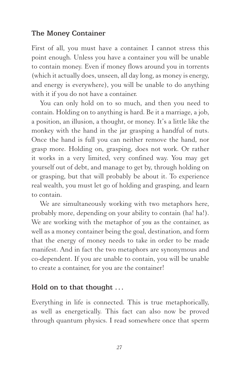### The Money Container

First of all, you must have a container. I cannot stress this point enough. Unless you have a container you will be unable to contain money. Even if money flows around you in torrents (which it actually does, unseen, all day long, as money is energy, and energy is everywhere), you will be unable to do anything with it if you do not have a container.

You can only hold on to so much, and then you need to contain. Holding on to anything is hard. Be it a marriage, a job, a position, an illusion, a thought, or money. It's a little like the monkey with the hand in the jar grasping a handful of nuts. Once the hand is full you can neither remove the hand, nor grasp more. Holding on, grasping, does not work. Or rather it works in a very limited, very confined way. You may get yourself out of debt, and manage to get by, through holding on or grasping, but that will probably be about it. To experience real wealth, you must let go of holding and grasping, and learn to contain.

We are simultaneously working with two metaphors here, probably more, depending on your ability to contain (ha! ha!). We are working with the metaphor of *you* as the container, as well as a money container being the goal, destination, and form that the energy of money needs to take in order to be made manifest. And in fact the two metaphors are synonymous and co-dependent. If you are unable to contain, you will be unable to create a container, for you are the container!

### Hold on to that thought ...

Everything in life is connected. This is true metaphorically, as well as energetically. This fact can also now be proved through quantum physics. I read somewhere once that sperm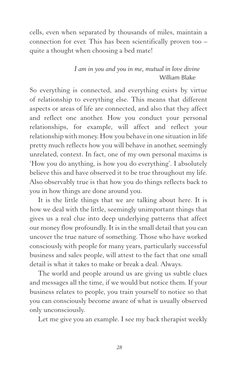cells, even when separated by thousands of miles, maintain a connection for ever. This has been scientifically proven too – quite a thought when choosing a bed mate!

### *I am in you and you in me, mutual in love divine*  William Blake

So everything is connected, and everything exists by virtue of relationship to everything else. This means that different aspects or areas of life are connected, and also that they affect and reflect one another. How you conduct your personal relationships, for example, will affect and reflect your relationship with money. How you behave in one situation in life pretty much reflects how you will behave in another, seemingly unrelated, context. In fact, one of my own personal maxims is 'How you do anything, is how you do everything'. I absolutely believe this and have observed it to be true throughout my life. Also observably true is that how you do things reflects back to you in how things are done around you.

It is the little things that we are talking about here. It is how we deal with the little, seemingly unimportant things that gives us a real clue into deep underlying patterns that affect our money flow profoundly. It is in the small detail that you can uncover the true nature of something. Those who have worked consciously with people for many years, particularly successful business and sales people, will attest to the fact that one small detail is what it takes to make or break a deal. Always.

The world and people around us are giving us subtle clues and messages all the time, if we would but notice them. If your business relates to people, you train yourself to notice so that you can consciously become aware of what is usually observed only unconsciously.

Let me give you an example. I see my back therapist weekly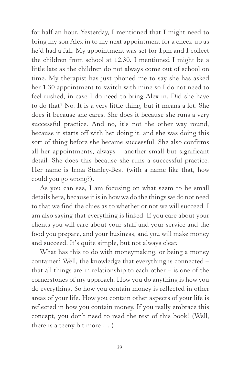for half an hour. Yesterday, I mentioned that I might need to bring my son Alex in to my next appointment for a check-up as he'd had a fall. My appointment was set for 1pm and I collect the children from school at 12.30. I mentioned I might be a little late as the children do not always come out of school on time. My therapist has just phoned me to say she has asked her 1.30 appointment to switch with mine so I do not need to feel rushed, in case I do need to bring Alex in. Did she have to do that? No. It is a very little thing, but it means a lot. She does it because she cares. She does it because she runs a very successful practice. And no, it's not the other way round, because it starts off with her doing it, and she was doing this sort of thing before she became successful. She also confirms all her appointments, always – another small but significant detail. She does this because she runs a successful practice. Her name is Irma Stanley-Best (with a name like that, how could you go wrong?).

As you can see, I am focusing on what seem to be small details here, because it is in how we do the things we do not need to that we find the clues as to whether or not we will succeed. I am also saying that everything is linked. If you care about your clients you will care about your staff and your service and the food you prepare, and your business, and you will make money and succeed. It's quite simple, but not always clear.

What has this to do with moneymaking, or being a money container? Well, the knowledge that everything is connected – that all things are in relationship to each other – is one of the cornerstones of my approach. How you do anything is how you do everything. So how you contain money is reflected in other areas of your life. How you contain other aspects of your life is reflected in how you contain money. If you really embrace this concept, you don't need to read the rest of this book! (Well, there is a teeny bit more . . . )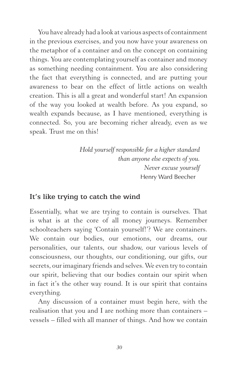You have already had a look at various aspects of containment in the previous exercises, and you now have your awareness on the metaphor of a container and on the concept on containing things. You are contemplating yourself as container and money as something needing containment. You are also considering the fact that everything is connected, and are putting your awareness to bear on the effect of little actions on wealth creation. This is all a great and wonderful start! An expansion of the way you looked at wealth before. As you expand, so wealth expands because, as I have mentioned, everything is connected. So, you are becoming richer already, even as we speak. Trust me on this!

> *Hold yourself responsible for a higher standard than anyone else expects of you. Never excuse yourself* Henry Ward Beecher

### It's like trying to catch the wind

Essentially, what we are trying to contain is ourselves. That is what is at the core of all money journeys. Remember schoolteachers saying 'Contain yourself!'? We are containers. We contain our bodies, our emotions, our dreams, our personalities, our talents, our shadow, our various levels of consciousness, our thoughts, our conditioning, our gifts, our secrets, our imaginary friends and selves. We even try to contain our spirit, believing that our bodies contain our spirit when in fact it's the other way round. It is our spirit that contains everything.

Any discussion of a container must begin here, with the realisation that you and I are nothing more than containers – vessels – filled with all manner of things. And how we contain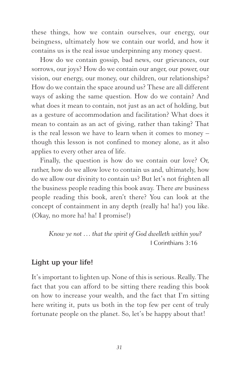these things, how we contain ourselves, our energy, our beingness, ultimately how we contain our world, and how it contains us is the real issue underpinning any money quest.

How do we contain gossip, bad news, our grievances, our sorrows, our joys? How do we contain our anger, our power, our vision, our energy, our money, our children, our relationships? How do we contain the space around us? These are all different ways of asking the same question. How do we contain? And what does it mean to contain, not just as an act of holding, but as a gesture of accommodation and facilitation? What does it mean to contain as an act of giving, rather than taking? That is the real lesson we have to learn when it comes to money – though this lesson is not confined to money alone, as it also applies to every other area of life.

Finally, the question is how do we contain our love? Or, rather, how do we allow love to contain us and, ultimately, how do we allow our divinity to contain us? But let's not frighten all the business people reading this book away. There *are* business people reading this book, aren't there? You can look at the concept of containment in any depth (really ha! ha!) you like. (Okay, no more ha! ha! I promise!)

 *Know ye not . . . that the spirit of God dwelleth within you?*  I Corinthians 3:16

### Light up your life!

It's important to lighten up. None of this is serious. Really. The fact that you can afford to be sitting there reading this book on how to increase your wealth, and the fact that I'm sitting here writing it, puts us both in the top few per cent of truly fortunate people on the planet. So, let's be happy about that!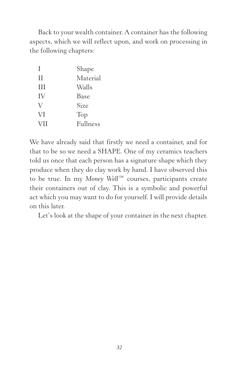Back to your wealth container. A container has the following aspects, which we will reflect upon, and work on processing in the following chapters:

| Τ          | Shape    |
|------------|----------|
| Н          | Material |
| H          | Walls    |
| IV         | Base     |
| V          | Size     |
| VI         | Top      |
| <b>VII</b> | Fullness |

We have already said that firstly we need a container, and for that to be so we need a SHAPE. One of my ceramics teachers told us once that each person has a signature shape which they produce when they do clay work by hand. I have observed this to be true. In my *Money Well*™ courses, participants create their containers out of clay. This is a symbolic and powerful act which you may want to do for yourself. I will provide details on this later.

Let's look at the shape of your container in the next chapter.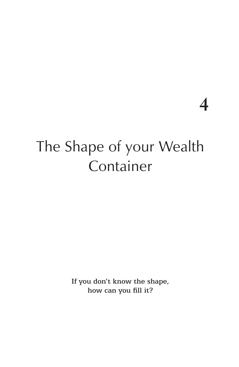**4**

# The Shape of your Wealth Container

If you don't know the shape, how can you fill it?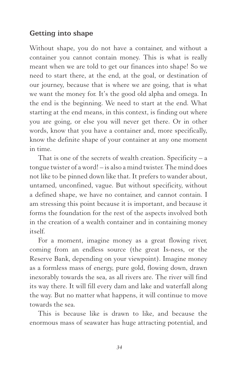### Getting into shape

Without shape, you do not have a container, and without a container you cannot contain money. This is what is really meant when we are told to get our finances into shape! So we need to start there, at the end, at the goal, or destination of our journey, because that is where we are going, that is what we want the money for. It's the good old alpha and omega. In the end is the beginning. We need to start at the end. What starting at the end means, in this context, is finding out where you are going, or else you will never get there. Or in other words, know that you have a container and, more specifically, know the definite shape of your container at any one moment in time.

That is one of the secrets of wealth creation. Specificity – a tongue twister of a word! – is also a mind twister. The mind does not like to be pinned down like that. It prefers to wander about, untamed, unconfined, vague. But without specificity, without a defined shape, we have no container, and cannot contain. I am stressing this point because it is important, and because it forms the foundation for the rest of the aspects involved both in the creation of a wealth container and in containing money  $i$ tself

For a moment, imagine money as a great flowing river, coming from an endless source (the great Is-ness, or the Reserve Bank, depending on your viewpoint). Imagine money as a formless mass of energy, pure gold, flowing down, drawn inexorably towards the sea, as all rivers are. The river will find its way there. It will fill every dam and lake and waterfall along the way. But no matter what happens, it will continue to move towards the sea.

This is because like is drawn to like, and because the enormous mass of seawater has huge attracting potential, and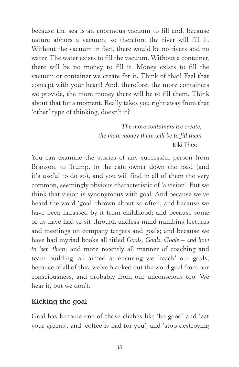because the sea is an enormous vacuum to fill and, because nature abhors a vacuum, so therefore the river will fill it. Without the vacuum in fact, there would be no rivers and no water. The water exists to fill the vacuum. Without a container, there will be no money to fill it. Money exists to fill the vacuum or container we create for it. Think of that! Feel that concept with your heart! And, therefore, the more containers we provide, the more money there will be to fill them. Think about that for a moment. Really takes you right away from that 'other' type of thinking, doesn't it?

> *The more containers we create, the more money there will be to fill them*  Kiki Theo

You can examine the stories of any successful person from Branson, to Trump, to the café owner down the road (and it's useful to do so), and you will find in all of them the very common, seemingly obvious characteristic of 'a vision'. But we think that vision is synonymous with goal. And because we've heard the word 'goal' thrown about so often; and because we have been harassed by it from childhood; and because some of us have had to sit through endless mind-numbing lectures and meetings on company targets and goals; and because we have had myriad books all titled *Goals, Goals, Goals – and how to 'set' them*; and more recently all manner of coaching and team building, all aimed at ensuring we 'reach' our goals; because of all of this, we've blanked out the word goal from our consciousness, and probably from our unconscious too. We hear it, but we don't.

### Kicking the goal

Goal has become one of those clichés like 'be good' and 'eat your greens', and 'coffee is bad for you', and 'stop destroying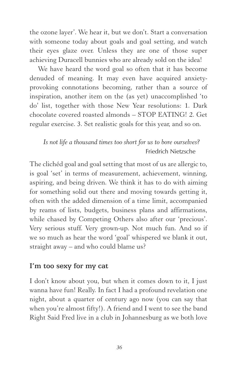the ozone layer'. We hear it, but we don't. Start a conversation with someone today about goals and goal setting, and watch their eyes glaze over. Unless they are one of those super achieving Duracell bunnies who are already sold on the idea!

We have heard the word goal so often that it has become denuded of meaning. It may even have acquired anxietyprovoking connotations becoming, rather than a source of inspiration, another item on the (as yet) unaccomplished 'to do' list, together with those New Year resolutions: 1. Dark chocolate covered roasted almonds – STOP EATING! 2. Get regular exercise. 3. Set realistic goals for this year, and so on.

## *Is not life a thousand times too short for us to bore ourselves?*  Friedrich Nietzsche

The clichéd goal and goal setting that most of us are allergic to, is goal 'set' in terms of measurement, achievement, winning, aspiring, and being driven. We think it has to do with aiming for something solid out there and moving towards getting it, often with the added dimension of a time limit, accompanied by reams of lists, budgets, business plans and affirmations, while chased by Competing Others also after our 'precious'. Very serious stuff. Very grown-up. Not much fun. And so if we so much as hear the word 'goal' whispered we blank it out, straight away – and who could blame us?

### I'm too sexy for my cat

I don't know about you, but when it comes down to it, I just wanna have fun! Really. In fact I had a profound revelation one night, about a quarter of century ago now (you can say that when you're almost fifty!). A friend and I went to see the band Right Said Fred live in a club in Johannesburg as we both love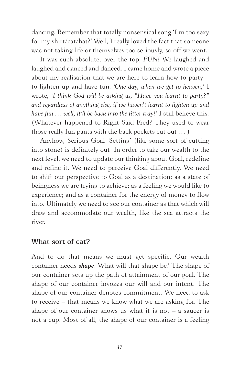dancing. Remember that totally nonsensical song 'I'm too sexy for my shirt/cat/hat?' Well, I really loved the fact that someone was not taking life or themselves too seriously, so off we went.

It was such absolute, over the top, *FUN!* We laughed and laughed and danced and danced. I came home and wrote a piece about my realisation that we are here to learn how to party – to lighten up and have fun. *'One day, when we get to heaven,'* I wrote*, 'I think God will be asking us, "Have you learnt to party?" and regardless of anything else, if we haven't learnt to lighten up and have fun ... well, it'll be back into the litter tray!'* I still believe this. (Whatever happened to Right Said Fred? They used to wear those really fun pants with the back pockets cut out ... )

Anyhow, Serious Goal 'Setting' (like some sort of cutting into stone) is definitely out! In order to take our wealth to the next level, we need to update our thinking about Goal, redefine and refine it. We need to perceive Goal differently. We need to shift our perspective to Goal as a destination; as a state of beingness we are trying to achieve; as a feeling we would like to experience; and as a container for the energy of money to flow into. Ultimately we need to see our container as that which will draw and accommodate our wealth, like the sea attracts the river.

#### What sort of cat?

And to do that means we must get specific. Our wealth container needs *shape*. What will that shape be? The shape of our container sets up the path of attainment of our goal. The shape of our container invokes our will and our intent. The shape of our container denotes commitment. We need to ask to receive – that means we know what we are asking for. The shape of our container shows us what it is not  $-$  a saucer is not a cup. Most of all, the shape of our container is a feeling